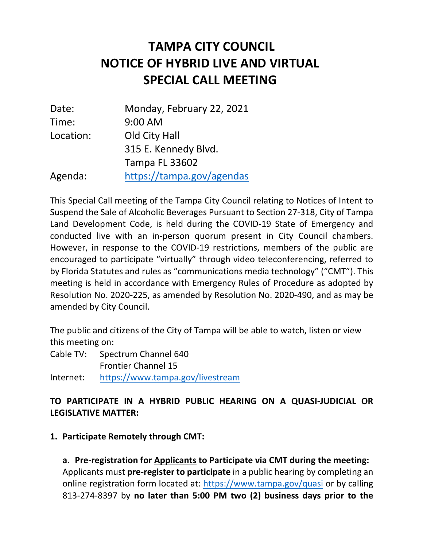# **NOTICE OF HYBRID LIVE AND VIRTUAL TAMPA CITY COUNCIL SPECIAL CALL MEETING**

| Date:     | Monday, February 22, 2021 |
|-----------|---------------------------|
| Time:     | 9:00 AM                   |
| Location: | Old City Hall             |
|           | 315 E. Kennedy Blvd.      |
|           | <b>Tampa FL 33602</b>     |
| Agenda:   | https://tampa.gov/agendas |

 This Special Call meeting of the Tampa City Council relating to Notices of Intent to Suspend the Sale of Alcoholic Beverages Pursuant to Section 27-318, City of Tampa Land Development Code, is held during the COVID-19 State of Emergency and conducted live with an in-person quorum present in City Council chambers. However, in response to the COVID-19 restrictions, members of the public are encouraged to participate "virtually" through video teleconferencing, referred to by Florida Statutes and rules as "communications media technology" ("CMT"). This meeting is held in accordance with Emergency Rules of Procedure as adopted by Resolution No. 2020-225, as amended by Resolution No. 2020-490, and as may be amended by City Council.

 The public and citizens of the City of Tampa will be able to watch, listen or view this meeting on:

 Cable TV: Spectrum Channel 640 Frontier Channel 15

Internet: https://www.tampa.gov/livestream

### **TO PARTICIPATE IN A HYBRID PUBLIC HEARING ON A QUASI-JUDICIAL OR LEGISLATIVE MATTER:**

**1. Participate Remotely through CMT:** 

 Applicants must **pre-register to participate** in a public hearing by completing an online registration form located at: https://www.tampa.gov/quasi or by calling  813-274-8397 by **no later than 5:00 PM two (2) business days prior to the a. Pre-registration for Applicants to Participate via CMT during the meeting:**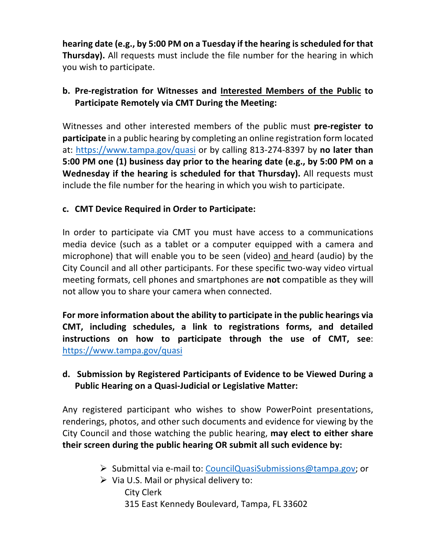**hearing date (e.g., by 5:00 PM on a Tuesday if the hearing is scheduled for that Thursday).** All requests must include the file number for the hearing in which you wish to participate.

## **b. Pre-registration for Witnesses and Interested Members of the Public to Participate Remotely via CMT During the Meeting:**

 Witnesses and other interested members of the public must **pre-register to participate** in a public hearing by completing an online registration form located at: https://www.tampa.gov/quasi or by calling 813-274-8397 by **no later than 5:00 PM one (1) business day prior to the hearing date (e.g., by 5:00 PM on a Wednesday if the hearing is scheduled for that Thursday).** All requests must include the file number for the hearing in which you wish to participate.

### **c. CMT Device Required in Order to Participate:**

 In order to participate via CMT you must have access to a communications media device (such as a tablet or a computer equipped with a camera and microphone) that will enable you to be seen (video) and heard (audio) by the City Council and all other participants. For these specific two-way video virtual meeting formats, cell phones and smartphones are **not** compatible as they will not allow you to share your camera when connected.

 **For more information about the ability to participate in the public hearings via CMT, including schedules, a link to registrations forms, and detailed instructions on how to participate through the use of CMT, see**: https://www.tampa.gov/quasi

### **d. Submission by Registered Participants of Evidence to be Viewed During a Public Hearing on a Quasi-Judicial or Legislative Matter:**

 Any registered participant who wishes to show PowerPoint presentations, renderings, photos, and other such documents and evidence for viewing by the City Council and those watching the public hearing, **may elect to either share their screen during the public hearing OR submit all such evidence by:** 

- Submittal via e-mail to: CouncilQuasiSubmissions@tampa.gov; or
- $\triangleright$  Via U.S. Mail or physical delivery to:
	- 315 East Kennedy Boulevard, Tampa, FL 33602 City Clerk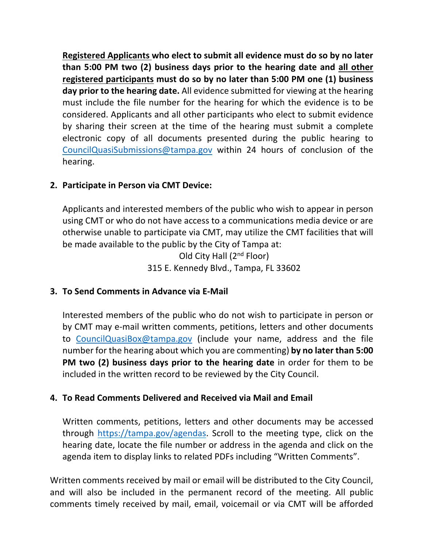**Registered Applicants who elect to submit all evidence must do so by no later than 5:00 PM two (2) business days prior to the hearing date and all other registered participants must do so by no later than 5:00 PM one (1) business day prior to the hearing date.** All evidence submitted for viewing at the hearing must include the file number for the hearing for which the evidence is to be considered. Applicants and all other participants who elect to submit evidence by sharing their screen at the time of the hearing must submit a complete electronic copy of all documents presented during the public hearing to CouncilQuasiSubmissions@tampa.gov within 24 hours of conclusion of the hearing.

#### **2. Participate in Person via CMT Device:**

 Applicants and interested members of the public who wish to appear in person using CMT or who do not have access to a communications media device or are otherwise unable to participate via CMT, may utilize the CMT facilities that will be made available to the public by the City of Tampa at: Old City Hall (2<sup>nd</sup> Floor) 315 E. Kennedy Blvd., Tampa, FL 33602

**3. To Send Comments in Advance via E-Mail** 

 Interested members of the public who do not wish to participate in person or by CMT may e-mail written comments, petitions, letters and other documents number for the hearing about which you are commenting) **by no later than 5:00 PM two (2) business days prior to the hearing date** in order for them to be to CouncilQuasiBox@tampa.gov (include your name, address and the file included in the written record to be reviewed by the City Council.

#### **4. To Read Comments Delivered and Received via Mail and Email**

 Written comments, petitions, letters and other documents may be accessed through https://tampa.gov/agendas. Scroll to the meeting type, click on the hearing date, locate the file number or address in the agenda and click on the agenda item to display links to related PDFs including "Written Comments".

 Written comments received by mail or email will be distributed to the City Council, and will also be included in the permanent record of the meeting. All public comments timely received by mail, email, voicemail or via CMT will be afforded